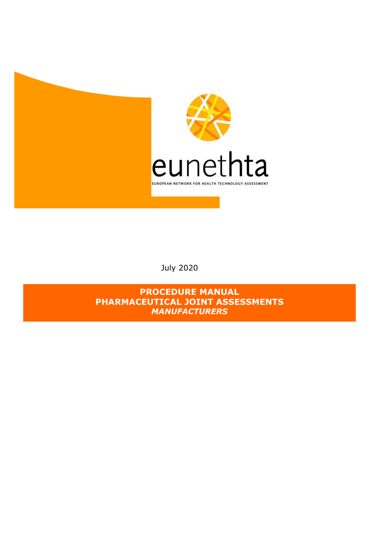

July 2020

**PROCEDURE MANUAL PHARMACEUTICAL JOINT ASSESSMENTS**  *MANUFACTURERS*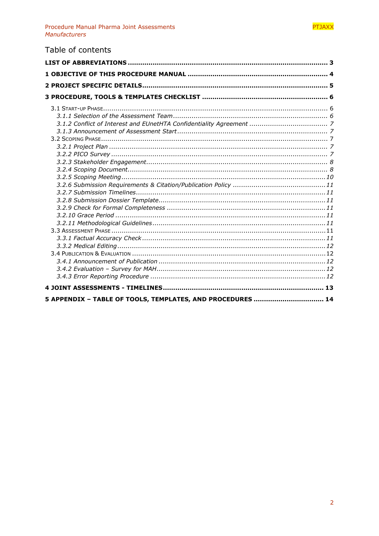# Table of contents

| 5 APPENDIX - TABLE OF TOOLS, TEMPLATES, AND PROCEDURES  14 |  |
|------------------------------------------------------------|--|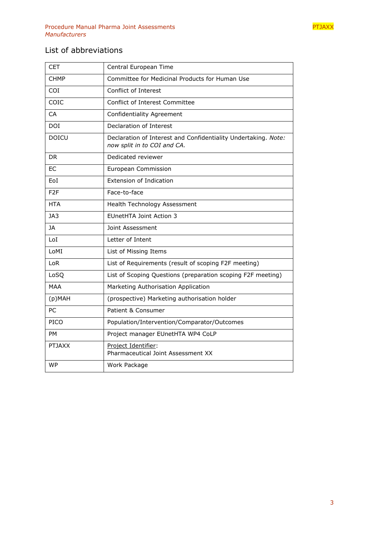

# <span id="page-2-0"></span>List of abbreviations

| <b>CET</b>      | Central European Time                                                                         |
|-----------------|-----------------------------------------------------------------------------------------------|
| <b>CHMP</b>     | Committee for Medicinal Products for Human Use                                                |
| COI             | Conflict of Interest                                                                          |
| COIC            | Conflict of Interest Committee                                                                |
| CA              | <b>Confidentiality Agreement</b>                                                              |
| DOI             | Declaration of Interest                                                                       |
| <b>DOICU</b>    | Declaration of Interest and Confidentiality Undertaking. Note:<br>now split in to COI and CA. |
| DR.             | Dedicated reviewer                                                                            |
| ЕC              | European Commission                                                                           |
| EoI             | <b>Extension of Indication</b>                                                                |
| F <sub>2F</sub> | Face-to-face                                                                                  |
| <b>HTA</b>      | Health Technology Assessment                                                                  |
| JA3             | <b>EUnetHTA Joint Action 3</b>                                                                |
| JA              | Joint Assessment                                                                              |
| LoI             | Letter of Intent                                                                              |
| LoMI            | List of Missing Items                                                                         |
| LoR             | List of Requirements (result of scoping F2F meeting)                                          |
| LoSQ            | List of Scoping Questions (preparation scoping F2F meeting)                                   |
| MAA             | Marketing Authorisation Application                                                           |
| $(p)$ MAH       | (prospective) Marketing authorisation holder                                                  |
| PC              | Patient & Consumer                                                                            |
| PICO            | Population/Intervention/Comparator/Outcomes                                                   |
| PM              | Project manager EUnetHTA WP4 CoLP                                                             |
| <b>PTJAXX</b>   | Project Identifier:<br>Pharmaceutical Joint Assessment XX                                     |
| <b>WP</b>       | Work Package                                                                                  |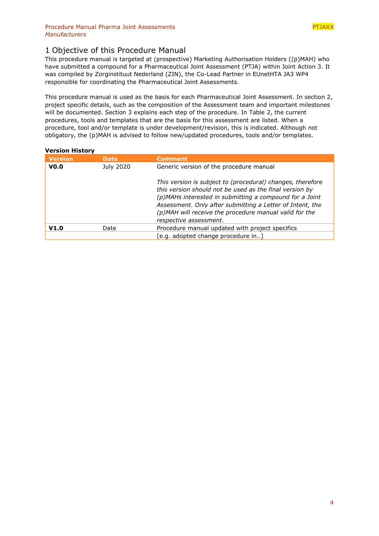# <span id="page-3-0"></span>1 Objective of this Procedure Manual

This procedure manual is targeted at (prospective) Marketing Authorisation Holders ((p)MAH) who have submitted a compound for a Pharmaceutical Joint Assessment (PTJA) within Joint Action 3. It was compiled by Zorginstituut Nederland (ZIN), the Co-Lead Partner in EUnetHTA JA3 WP4 responsible for coordinating the Pharmaceutical Joint Assessments.

This procedure manual is used as the basis for each Pharmaceutical Joint Assessment. In section 2, project specific details, such as the composition of the Assessment team and important milestones will be documented. Section 3 explains each step of the procedure. In [Table 2,](#page-13-1) the current procedures, tools and templates that are the basis for this assessment are listed. When a procedure, tool and/or template is under development/revision, this is indicated. Although not obligatory, the (p)MAH is advised to follow new/updated procedures, tools and/or templates.

# **Version History**

| <b>Version</b>   | <b>Date</b> | <b>Comment</b>                                                                                                                                                                                                                                                                                                                    |  |
|------------------|-------------|-----------------------------------------------------------------------------------------------------------------------------------------------------------------------------------------------------------------------------------------------------------------------------------------------------------------------------------|--|
| V <sub>0.0</sub> | July 2020   | Generic version of the procedure manual                                                                                                                                                                                                                                                                                           |  |
|                  |             | This version is subject to (procedural) changes, therefore<br>this version should not be used as the final version by<br>(p)MAHs interested in submitting a compound for a Joint<br>Assessment. Only after submitting a Letter of Intent, the<br>(p)MAH will receive the procedure manual valid for the<br>respective assessment. |  |
| V1.0             | Date        | Procedure manual updated with project specifics                                                                                                                                                                                                                                                                                   |  |
|                  |             | [e.g. adopted change procedure in]                                                                                                                                                                                                                                                                                                |  |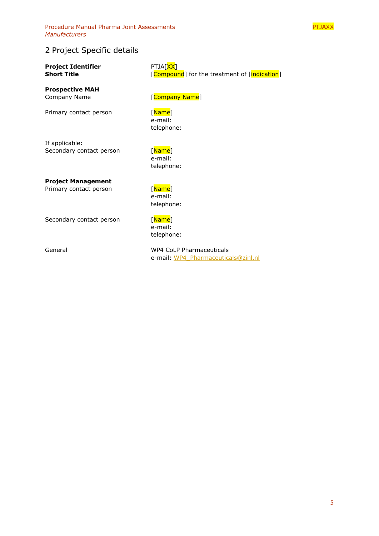Procedure Manual Pharma Joint Assessments **PTJAXX PTJAXX** *Manufacturers* 



# <span id="page-4-0"></span>2 Project Specific details

**Project Identifier** PTJA[<mark>XX]</mark><br>Short Title PHOT Research

**Prospective MAH** Company Name [Company Name]

Primary contact person [Name]

**[Compound**] for the treatment of [indication]

e-mail: telephone:

If applicable: Secondary contact person [Name]

e-mail: telephone:

**Project Management**

Primary contact person [Name]

e-mail: telephone:

Secondary contact person [Name]

e-mail: telephone:

General WP4 CoLP Pharmaceuticals e-mail: [WP4\\_Pharmaceuticals@zinl.nl](mailto:WP4_Pharmaceuticals@zinl.nl)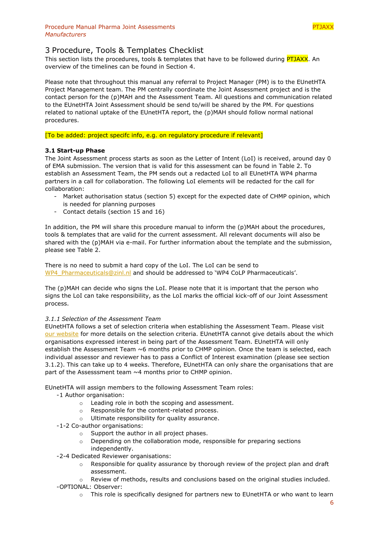<span id="page-5-0"></span>This section lists the procedures, tools & templates that have to be followed during **PTJAXX**. An overview of the timelines can be found in Section [4.](#page-12-0)

Please note that throughout this manual any referral to Project Manager (PM) is to the EUnetHTA Project Management team. The PM centrally coordinate the Joint Assessment project and is the contact person for the (p)MAH and the Assessment Team. All questions and communication related to the EUnetHTA Joint Assessment should be send to/will be shared by the PM. For questions related to national uptake of the EUnetHTA report, the (p)MAH should follow normal national procedures.

[To be added: project specifc info, e.g. on regulatory procedure if relevant]

# <span id="page-5-1"></span>**3.1 Start-up Phase**

The Joint Assessment process starts as soon as the Letter of Intent (LoI) is received, around day 0 of EMA submission. The version that is valid for this assessment can be found in [Table 2.](#page-13-1) To establish an Assessment Team, the PM sends out a redacted LoI to all EUnetHTA WP4 pharma partners in a call for collaboration. The following LoI elements will be redacted for the call for collaboration:

- Market authorisation status (section 5) except for the expected date of CHMP opinion, which is needed for planning purposes
- Contact details (section 15 and 16)

In addition, the PM will share this procedure manual to inform the (p)MAH about the procedures, tools & templates that are valid for the current assessment. All relevant documents will also be shared with the (p)MAH via e-mail. For further information about the template and the submission, please see [Table 2.](#page-13-1)

There is no need to submit a hard copy of the LoI. The LoI can be send to [WP4\\_Pharmaceuticals@zinl.nl](mailto:WP4_Pharmaceuticals@zinl.nl) and should be addressed to 'WP4 CoLP Pharmaceuticals'.

The (p)MAH can decide who signs the LoI. Please note that it is important that the person who signs the LoI can take responsibility, as the LoI marks the official kick-off of our Joint Assessment process.

# <span id="page-5-2"></span>*3.1.1 Selection of the Assessment Team*

EUnetHTA follows a set of selection criteria when establishing the Assessment Team. Please visit [our website](https://eunethta.eu/services/submission-guidelines/pharmaceutical-submission/#ptfaq10) for more details on the selection criteria. EUnetHTA cannot give details about the which organisations expressed interest in being part of the Assessment Team. EUnetHTA will only establish the Assessment Team ~6 months prior to CHMP opinion. Once the team is selected, each individual assessor and reviewer has to pass a Conflict of Interest examination (please see section [3.1.2\)](#page-6-0). This can take up to 4 weeks. Therefore, EUnetHTA can only share the organisations that are part of the Assesssment team  $\sim$  4 months prior to CHMP opinion.

EUnetHTA will assign members to the following Assessment Team roles:

- -1 Author organisation:
	- o Leading role in both the scoping and assessment.
	- o Responsible for the content-related process.
	- o Ultimate responsibility for quality assurance.
- -1-2 Co-author organisations:
	- o Support the author in all project phases.
	- o Depending on the collaboration mode, responsible for preparing sections independently.
- -2-4 Dedicated Reviewer organisations:
	- $\circ$  Responsible for quality assurance by thorough review of the project plan and draft assessment.
- $\circ$  Review of methods, results and conclusions based on the original studies included. -OPTIONAL: Observer:
	- $\circ$  This role is specifically designed for partners new to EUnetHTA or who want to learn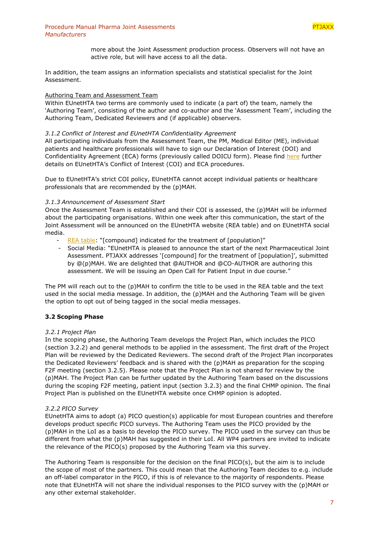

more about the Joint Assessment production process. Observers will not have an active role, but will have access to all the data.

In addition, the team assigns an information specialists and statistical specialist for the Joint Assessment.

## Authoring Team and Assessment Team

Within EUnetHTA two terms are commonly used to indicate (a part of) the team, namely the 'Authoring Team', consisting of the author and co-author and the 'Assessment Team', including the Authoring Team, Dedicated Reviewers and (if applicable) observers.

## <span id="page-6-0"></span>*3.1.2 Conflict of Interest and EUnetHTA Confidentiality Agreement*

All participating individuals from the Assessment Team, the PM, Medical Editor (ME), individual patients and healthcare professionals will have to sign our Declaration of Interest (DOI) and Confidentiality Agreement (ECA) forms (previously called DOICU form). Please find [here](https://eunethta.eu/doi/) further details on EUnetHTA's Conflict of Interest (COI) and ECA procedures.

Due to EUnetHTA's strict COI policy, EUnetHTA cannot accept individual patients or healthcare professionals that are recommended by the (p)MAH.

## <span id="page-6-1"></span>*3.1.3 Announcement of Assessment Start*

Once the Assessment Team is established and their COI is assessed, the (p)MAH will be informed about the participating organisations. Within one week after this communication, the start of the Joint Assessment will be announced on the EUnetHTA website (REA table) and on EUnetHTA social media.

- [REA table:](https://eunethta.eu/rapid-reas/) "[compound] indicated for the treatment of [population]"
- Social Media: "EUnetHTA is pleased to announce the start of the next Pharmaceutical Joint Assessment. PTJAXX addresses '[compound] for the treatment of [population]', submitted by @(p)MAH. We are delighted that @AUTHOR and @CO-AUTHOR are authoring this assessment. We will be issuing an Open Call for Patient Input in due course."

The PM will reach out to the (p)MAH to confirm the title to be used in the REA table and the text used in the social media message. In addition, the (p)MAH and the Authoring Team will be given the option to opt out of being tagged in the social media messages.

# <span id="page-6-2"></span>**3.2 Scoping Phase**

# <span id="page-6-3"></span>*3.2.1 Project Plan*

In the scoping phase, the Authoring Team develops the Project Plan, which includes the PICO (section [3.2.2\)](#page-6-4) and general methods to be applied in the assessment. The first draft of the Project Plan will be reviewed by the Dedicated Reviewers. The second draft of the Project Plan incorporates the Dedicated Reviewers' feedback and is shared with the (p)MAH as preparation for the scoping F2F meeting (section [3.2.5\)](#page-9-0). Please note that the Project Plan is not shared for review by the (p)MAH. The Project Plan can be further updated by the Authoring Team based on the discussions during the scoping F2F meeting, patient input (section [3.2.3\)](#page-7-0) and the final CHMP opinion. The final Project Plan is published on the EUnetHTA website once CHMP opinion is adopted.

## <span id="page-6-4"></span>*3.2.2 PICO Survey*

EUnetHTA aims to adopt (a) PICO question(s) applicable for most European countries and therefore develops product specific PICO surveys. The Authoring Team uses the PICO provided by the (p)MAH in the LoI as a basis to develop the PICO survey. The PICO used in the survey can thus be different from what the (p)MAH has suggested in their LoI. All WP4 partners are invited to indicate the relevance of the PICO(s) proposed by the Authoring Team via this survey.

The Authoring Team is responsible for the decision on the final PICO(s), but the aim is to include the scope of most of the partners. This could mean that the Authoring Team decides to e.g. include an off-label comparator in the PICO, if this is of relevance to the majority of respondents. Please note that EUnetHTA will not share the individual responses to the PICO survey with the (p)MAH or any other external stakeholder.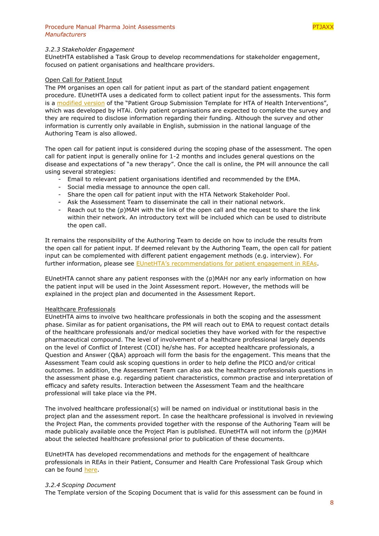

#### <span id="page-7-0"></span>*3.2.3 Stakeholder Engagement*

EUnetHTA established a Task Group to develop recommendations for stakeholder engagement, focused on patient organisations and healthcare providers.

#### Open Call for Patient Input

The PM organises an open call for patient input as part of the standard patient engagement procedure. EUnetHTA uses a dedicated form to collect patient input for the assessments. This form is a [modified version](https://eunethta.eu/stakeholders/patients/) of the "Patient Group Submission Template for HTA of Health Interventions", which was developed by HTAi. Only patient organisations are expected to complete the survey and they are required to disclose information regarding their funding. Although the survey and other information is currently only available in English, submission in the national language of the Authoring Team is also allowed.

The open call for patient input is considered during the scoping phase of the assessment. The open call for patient input is generally online for 1-2 months and includes general questions on the disease and expectations of "a new therapy". Once the call is online, the PM will announce the call using several strategies:

- Email to relevant patient organisations identified and recommended by the EMA.
- Social media message to announce the open call.
- Share the open call for patient input with the HTA Network Stakeholder Pool.
- Ask the Assessment Team to disseminate the call in their national network.
- Reach out to the (p)MAH with the link of the open call and the request to share the link within their network. An introductory text will be included which can be used to distribute the open call.

It remains the responsibility of the Authoring Team to decide on how to include the results from the open call for patient input. If deemed relevant by the Authoring Team, the open call for patient input can be complemented with different patient engagement methods (e.g. interview). For further information, please see [EUnetHTA's recommendations for patient engagement in REAs](https://eunethta.eu/wp-content/uploads/2019/06/Final_290519_Patient-Input-in-REAs.pdf).

EUnetHTA cannot share any patient responses with the (p)MAH nor any early information on how the patient input will be used in the Joint Assessment report. However, the methods will be explained in the project plan and documented in the Assessment Report.

#### Healthcare Professionals

EUnetHTA aims to involve two healthcare professionals in both the scoping and the assessment phase. Similar as for patient organisations, the PM will reach out to EMA to request contact details of the healthcare professionals and/or medical societies they have worked with for the respective pharmaceutical compound. The level of involvement of a healthcare professional largely depends on the level of Conflict of Interest (COI) he/she has. For accepted healthcare professionals, a Question and Answer (Q&A) approach will form the basis for the engagement. This means that the Assessment Team could ask scoping questions in order to help define the PICO and/or critical outcomes. In addition, the Assessment Team can also ask the healthcare professionals questions in the assessment phase e.g. regarding patient characteristics, common practise and interpretation of efficacy and safety results. Interaction between the Assessment Team and the healthcare professional will take place via the PM.

The involved healthcare professional(s) will be named on individual or institutional basis in the project plan and the assessment report. In case the healthcare professional is involved in reviewing the Project Plan, the comments provided together with the response of the Authoring Team will be made publicaly available once the Project Plan is published. EUnetHTA will not inform the (p)MAH about the selected healthcare professional prior to publication of these documents.

EUnetHTA has developed recommendations and methods for the engagement of healthcare professionals in REAs in their Patient, Consumer and Health Care Professional Task Group which can be found [here.](https://eunethta.eu/stakeholders/health-care-providers/)

#### <span id="page-7-1"></span>*3.2.4 Scoping Document*

The Template version of the Scoping Document that is valid for this assessment can be found in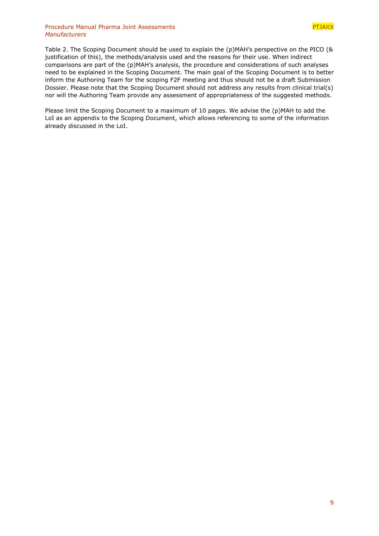## Procedure Manual Pharma Joint Assessments **PTJAXX** and PTJAXX *Manufacturers*

[Table 2.](#page-13-1) The Scoping Document should be used to explain the (p)MAH's perspective on the PICO (& justification of this), the methods/analysis used and the reasons for their use. When indirect comparisons are part of the (p)MAH's analysis, the procedure and considerations of such analyses need to be explained in the Scoping Document. The main goal of the Scoping Document is to better inform the Authoring Team for the scoping F2F meeting and thus should not be a draft Submission Dossier. Please note that the Scoping Document should not address any results from clinical trial(s) nor will the Authoring Team provide any assessment of appropriateness of the suggested methods.

Please limit the Scoping Document to a maximum of 10 pages. We advise the (p)MAH to add the LoI as an appendix to the Scoping Document, which allows referencing to some of the information already discussed in the LoI.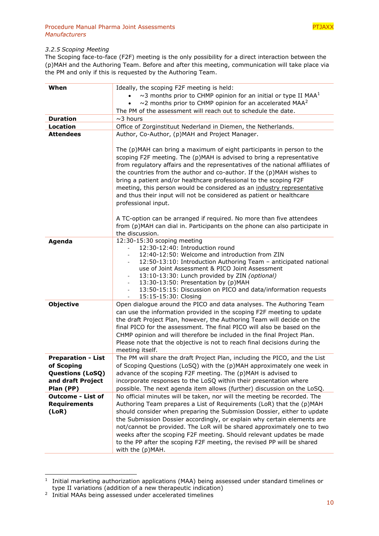

## <span id="page-9-0"></span>*3.2.5 Scoping Meeting*

The Scoping face-to-face (F2F) meeting is the only possibility for a direct interaction between the (p)MAH and the Authoring Team. Before and after this meeting, communication will take place via the PM and only if this is requested by the Authoring Team.

| When                                                                                                 | Ideally, the scoping F2F meeting is held:<br>$\sim$ 3 months prior to CHMP opinion for an initial or type II MAA <sup>1</sup><br>$\sim$ 2 months prior to CHMP opinion for an accelerated MAA <sup>2</sup><br>The PM of the assessment will reach out to schedule the date.                                                                                                                                                                                                                                                                              |
|------------------------------------------------------------------------------------------------------|----------------------------------------------------------------------------------------------------------------------------------------------------------------------------------------------------------------------------------------------------------------------------------------------------------------------------------------------------------------------------------------------------------------------------------------------------------------------------------------------------------------------------------------------------------|
| <b>Duration</b>                                                                                      | $\sim$ 3 hours                                                                                                                                                                                                                                                                                                                                                                                                                                                                                                                                           |
| Location                                                                                             | Office of Zorginstituut Nederland in Diemen, the Netherlands.                                                                                                                                                                                                                                                                                                                                                                                                                                                                                            |
| <b>Attendees</b>                                                                                     | Author, Co-Author, (p)MAH and Project Manager.                                                                                                                                                                                                                                                                                                                                                                                                                                                                                                           |
|                                                                                                      | The (p)MAH can bring a maximum of eight participants in person to the<br>scoping F2F meeting. The (p)MAH is advised to bring a representative<br>from regulatory affairs and the representatives of the national affiliates of<br>the countries from the author and co-author. If the (p)MAH wishes to<br>bring a patient and/or healthcare professional to the scoping F2F<br>meeting, this person would be considered as an industry representative<br>and thus their input will not be considered as patient or healthcare<br>professional input.     |
|                                                                                                      | A TC-option can be arranged if required. No more than five attendees<br>from (p)MAH can dial in. Participants on the phone can also participate in<br>the discussion.                                                                                                                                                                                                                                                                                                                                                                                    |
| Agenda                                                                                               | 12:30-15:30 scoping meeting<br>12:30-12:40: Introduction round<br>12:40-12:50: Welcome and introduction from ZIN<br>$\overline{\phantom{a}}$<br>12:50-13:10: Introduction Authoring Team - anticipated national<br>use of Joint Assessment & PICO Joint Assessment<br>13:10-13:30: Lunch provided by ZIN (optional)<br>13:30-13:50: Presentation by (p)MAH<br>13:50-15:15: Discussion on PICO and data/information requests<br>$\overline{\phantom{a}}$<br>15:15-15:30: Closing<br>$\overline{\phantom{a}}$                                              |
| <b>Objective</b>                                                                                     | Open dialogue around the PICO and data analyses. The Authoring Team<br>can use the information provided in the scoping F2F meeting to update<br>the draft Project Plan, however, the Authoring Team will decide on the<br>final PICO for the assessment. The final PICO will also be based on the<br>CHMP opinion and will therefore be included in the final Project Plan.<br>Please note that the objective is not to reach final decisions during the<br>meeting itself.                                                                              |
| <b>Preparation - List</b><br>of Scoping<br><b>Questions (LoSQ)</b><br>and draft Project<br>Plan (PP) | The PM will share the draft Project Plan, including the PICO, and the List<br>of Scoping Questions (LoSQ) with the (p)MAH approximately one week in<br>advance of the scoping F2F meeting. The (p)MAH is advised to<br>incorporate responses to the LoSQ within their presentation where<br>possible. The next agenda item allows (further) discussion on the LoSQ.                                                                                                                                                                                      |
| <b>Outcome - List of</b><br><b>Requirements</b><br>(LoR)                                             | No official minutes will be taken, nor will the meeting be recorded. The<br>Authoring Team prepares a List of Requirements (LoR) that the (p) MAH<br>should consider when preparing the Submission Dossier, either to update<br>the Submission Dossier accordingly, or explain why certain elements are<br>not/cannot be provided. The LoR will be shared approximately one to two<br>weeks after the scoping F2F meeting. Should relevant updates be made<br>to the PP after the scoping F2F meeting, the revised PP will be shared<br>with the (p)MAH. |

<sup>&</sup>lt;sup>1</sup> Initial marketing authorization applications (MAA) being assessed under standard timelines or type II variations (addition of a new therapeutic indication)

-

<sup>&</sup>lt;sup>2</sup> Initial MAAs being assessed under accelerated timelines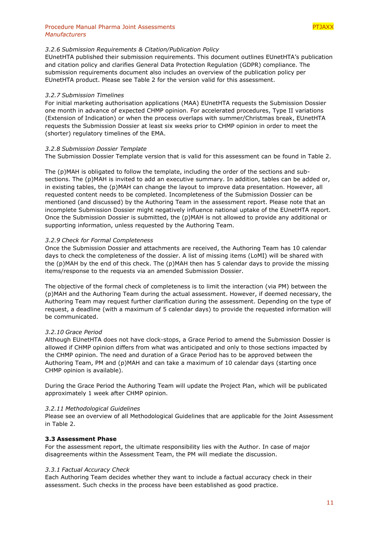## <span id="page-10-0"></span>*3.2.6 Submission Requirements & Citation/Publication Policy*

EUnetHTA published their submission requirements. This document outlines EUnetHTA's publication and citation policy and clarifies General Data Protection Regulation (GDPR) compliance. The submission requirements document also includes an overview of the publication policy per EUnetHTA product. Please see [Table 2](#page-13-1) for the version valid for this assessment.

#### <span id="page-10-1"></span>*3.2.7 Submission Timelines*

For initial marketing authorisation applications (MAA) EUnetHTA requests the Submission Dossier one month in advance of expected CHMP opinion. For accelerated procedures, Type II variations (Extension of Indication) or when the process overlaps with summer/Christmas break, EUnetHTA requests the Submission Dossier at least six weeks prior to CHMP opinion in order to meet the (shorter) regulatory timelines of the EMA.

#### <span id="page-10-2"></span>*3.2.8 Submission Dossier Template*

The Submission Dossier Template version that is valid for this assessment can be found in [Table 2.](#page-13-1)

The (p)MAH is obligated to follow the template, including the order of the sections and subsections. The (p)MAH is invited to add an executive summary. In addition, tables can be added or, in existing tables, the (p)MAH can change the layout to improve data presentation. However, all requested content needs to be completed. Incompleteness of the Submission Dossier can be mentioned (and discussed) by the Authoring Team in the assessment report. Please note that an incomplete Submission Dossier might negatively influence national uptake of the EUnetHTA report. Once the Submission Dossier is submitted, the (p)MAH is not allowed to provide any additional or supporting information, unless requested by the Authoring Team.

#### <span id="page-10-3"></span>*3.2.9 Check for Formal Completeness*

Once the Submission Dossier and attachments are received, the Authoring Team has 10 calendar days to check the completeness of the dossier. A list of missing items (LoMI) will be shared with the (p)MAH by the end of this check. The (p)MAH then has 5 calendar days to provide the missing items/response to the requests via an amended Submission Dossier.

The objective of the formal check of completeness is to limit the interaction (via PM) between the (p)MAH and the Authoring Team during the actual assessment. However, if deemed necessary, the Authoring Team may request further clarification during the assessment. Depending on the type of request, a deadline (with a maximum of 5 calendar days) to provide the requested information will be communicated.

## <span id="page-10-4"></span>*3.2.10 Grace Period*

Although EUnetHTA does not have clock-stops, a Grace Period to amend the Submission Dossier is allowed if CHMP opinion differs from what was anticipated and only to those sections impacted by the CHMP opinion. The need and duration of a Grace Period has to be approved between the Authoring Team, PM and (p)MAH and can take a maximum of 10 calendar days (starting once CHMP opinion is available).

During the Grace Period the Authoring Team will update the Project Plan, which will be publicated approximately 1 week after CHMP opinion.

#### <span id="page-10-5"></span>*3.2.11 Methodological Guidelines*

Please see an overview of all Methodological Guidelines that are applicable for the Joint Assessment in [Table 2.](#page-13-1)

## <span id="page-10-6"></span>**3.3 Assessment Phase**

For the assessment report, the ultimate responsibility lies with the Author. In case of major disagreements within the Assessment Team, the PM will mediate the discussion.

## <span id="page-10-7"></span>*3.3.1 Factual Accuracy Check*

Each Authoring Team decides whether they want to include a factual accuracy check in their assessment. Such checks in the process have been established as good practice.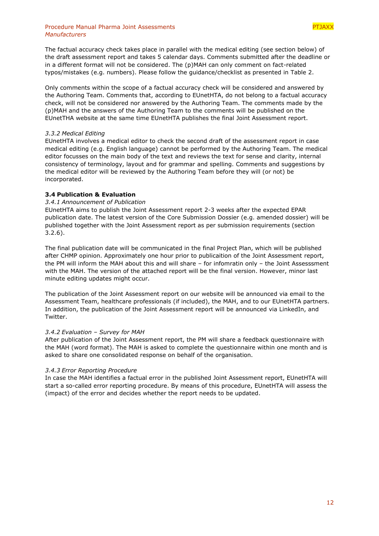## Procedure Manual Pharma Joint Assessments **PTJAX**X *Manufacturers*

The factual accuracy check takes place in parallel with the medical editing (see section below) of the draft assessment report and takes 5 calendar days. Comments submitted after the deadline or in a different format will not be considered. The (p)MAH can only comment on fact-related typos/mistakes (e.g. numbers). Please follow the guidance/checklist as presented in [Table 2.](#page-13-1)

Only comments within the scope of a factual accuracy check will be considered and answered by the Authoring Team. Comments that, according to EUnetHTA, do not belong to a factual accuracy check, will not be considered nor answered by the Authoring Team. The comments made by the (p)MAH and the answers of the Authoring Team to the comments will be published on the EUnetTHA website at the same time EUnetHTA publishes the final Joint Assessment report.

# <span id="page-11-0"></span>*3.3.2 Medical Editing*

EUnetHTA involves a medical editor to check the second draft of the assessment report in case medical editing (e.g. English language) cannot be performed by the Authoring Team. The medical editor focusses on the main body of the text and reviews the text for sense and clarity, internal consistency of terminology, layout and for grammar and spelling. Comments and suggestions by the medical editor will be reviewed by the Authoring Team before they will (or not) be incorporated.

# <span id="page-11-1"></span>**3.4 Publication & Evaluation**

# <span id="page-11-2"></span>*3.4.1 Announcement of Publication*

EUnetHTA aims to publish the Joint Assessment report 2-3 weeks after the expected EPAR publication date. The latest version of the Core Submission Dossier (e.g. amended dossier) will be published together with the Joint Assessment report as per submission requirements (section [3.2.6\)](#page-10-0).

The final publication date will be communicated in the final Project Plan, which will be published after CHMP opinion. Approximately one hour prior to publicaition of the Joint Assessment report, the PM will inform the MAH about this and will share – for infomratin only – the Joint Assesssment with the MAH. The version of the attached report will be the final version. However, minor last minute editing updates might occur.

The publication of the Joint Assessment report on our website will be announced via email to the Assessment Team, healthcare professionals (if included), the MAH, and to our EUnetHTA partners. In addition, the publication of the Joint Assessment report will be announced via LinkedIn, and Twitter.

# <span id="page-11-3"></span>*3.4.2 Evaluation – Survey for MAH*

After publication of the Joint Assessment report, the PM will share a feedback questionnaire with the MAH (word format). The MAH is asked to complete the questionnaire within one month and is asked to share one consolidated response on behalf of the organisation.

# <span id="page-11-4"></span>*3.4.3 Error Reporting Procedure*

In case the MAH identifies a factual error in the published Joint Assessment report, EUnetHTA will start a so-called error reporting procedure. By means of this procedure, EUnetHTA will assess the (impact) of the error and decides whether the report needs to be updated.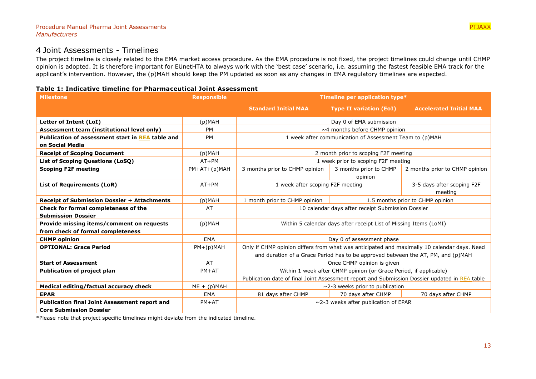# 4 Joint Assessments - Timelines

The project timeline is closely related to the EMA market access procedure. As the EMA procedure is not fixed, the project timelines could change until CHMP opinion is adopted. It is therefore important for EUnetHTA to always work with the 'best case' scenario, i.e. assuming the fastest feasible EMA track for the applicant's intervention. However, the (p)MAH should keep the PM updated as soon as any changes in EMA regulatory timelines are expected.

# **Table 1: Indicative timeline for Pharmaceutical Joint Assessment**

<span id="page-12-0"></span>

| <b>Milestone</b>                                                               | <b>Responsible</b> | Timeline per application type*                                                                |                                     |                                |
|--------------------------------------------------------------------------------|--------------------|-----------------------------------------------------------------------------------------------|-------------------------------------|--------------------------------|
|                                                                                |                    | <b>Standard Initial MAA</b>                                                                   | <b>Type II variation (EoI)</b>      | <b>Accelerated Initial MAA</b> |
| Letter of Intent (LoI)                                                         | $(p)$ MAH          |                                                                                               | Day 0 of EMA submission             |                                |
| Assessment team (institutional level only)                                     | PM                 |                                                                                               | $\sim$ 4 months before CHMP opinion |                                |
| Publication of assessment start in REA table and<br>on Social Media            | PM                 | 1 week after communication of Assessment Team to (p)MAH                                       |                                     |                                |
| <b>Receipt of Scoping Document</b>                                             | (p)MAH             | 2 month prior to scoping F2F meeting                                                          |                                     |                                |
| List of Scoping Questions (LoSQ)                                               | $AT+PM$            | 1 week prior to scoping F2F meeting                                                           |                                     |                                |
| <b>Scoping F2F meeting</b>                                                     | $PM+AT+(p)MAH$     | 3 months prior to CHMP opinion                                                                | 3 months prior to CHMP<br>opinion   | 2 months prior to CHMP opinion |
| <b>List of Requirements (LoR)</b>                                              | $AT+PM$            | 1 week after scoping F2F meeting<br>meeting                                                   |                                     | 3-5 days after scoping F2F     |
| <b>Receipt of Submission Dossier + Attachments</b>                             | $(p)$ MAH          | 1 month prior to CHMP opinion                                                                 | 1.5 months prior to CHMP opinion    |                                |
| Check for formal completeness of the<br><b>Submission Dossier</b>              | AT                 | 10 calendar days after receipt Submission Dossier                                             |                                     |                                |
| Provide missing items/comment on requests<br>from check of formal completeness | $(p)$ MAH          | Within 5 calendar days after receipt List of Missing Items (LoMI)                             |                                     |                                |
| <b>CHMP opinion</b>                                                            | EMA                | Day 0 of assessment phase                                                                     |                                     |                                |
| <b>OPTIONAL: Grace Period</b>                                                  | $PM+(p)MAH$        | Only if CHMP opinion differs from what was anticipated and maximally 10 calendar days. Need   |                                     |                                |
|                                                                                |                    | and duration of a Grace Period has to be approved between the AT, PM, and (p)MAH              |                                     |                                |
| <b>Start of Assessment</b>                                                     | AT                 | Once CHMP opinion is given                                                                    |                                     |                                |
| <b>Publication of project plan</b>                                             | $PM+AT$            | Within 1 week after CHMP opinion (or Grace Period, if applicable)                             |                                     |                                |
|                                                                                |                    | Publication date of final Joint Assessment report and Submission Dossier updated in REA table |                                     |                                |
| Medical editing/factual accuracy check                                         | $ME + (p)MAH$      | $\sim$ 2-3 weeks prior to publication                                                         |                                     |                                |
| <b>EPAR</b>                                                                    | <b>EMA</b>         | 81 days after CHMP                                                                            | 70 days after CHMP                  | 70 days after CHMP             |
| <b>Publication final Joint Assessment report and</b>                           | $PM+AT$            | $\sim$ 2-3 weeks after publication of EPAR                                                    |                                     |                                |
| <b>Core Submission Dossier</b>                                                 |                    |                                                                                               |                                     |                                |

\*Please note that project specific timelines might deviate from the indicated timeline.